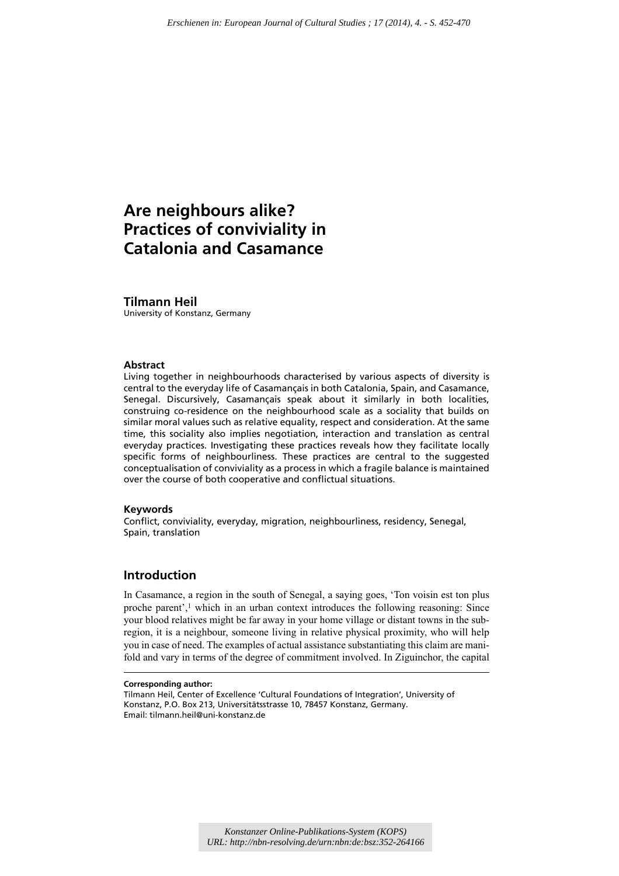# **Are neighbours alike? Practices of conviviality in Catalonia and Casamance**

**Tilmann Heil**

University of Konstanz, Germany

#### **Abstract**

Living together in neighbourhoods characterised by various aspects of diversity is central to the everyday life of Casamançais in both Catalonia, Spain, and Casamance, Senegal. Discursively, Casamançais speak about it similarly in both localities, construing co-residence on the neighbourhood scale as a sociality that builds on similar moral values such as relative equality, respect and consideration. At the same time, this sociality also implies negotiation, interaction and translation as central everyday practices. Investigating these practices reveals how they facilitate locally specific forms of neighbourliness. These practices are central to the suggested conceptualisation of conviviality as a process in which a fragile balance is maintained over the course of both cooperative and conflictual situations.

#### **Keywords**

Conflict, conviviality, everyday, migration, neighbourliness, residency, Senegal, Spain, translation

## **Introduction**

In Casamance, a region in the south of Senegal, a saying goes, 'Ton voisin est ton plus proche parent',<sup>1</sup> which in an urban context introduces the following reasoning: Since your blood relatives might be far away in your home village or distant towns in the subregion, it is a neighbour, someone living in relative physical proximity, who will help you in case of need. The examples of actual assistance substantiating this claim are manifold and vary in terms of the degree of commitment involved. In Ziguinchor, the capital

**Corresponding author:**

Tilmann Heil, Center of Excellence 'Cultural Foundations of Integration', University of Konstanz, P.O. Box 213, Universitätsstrasse 10, 78457 Konstanz, Germany. Email: tilmann.heil@uni-konstanz.de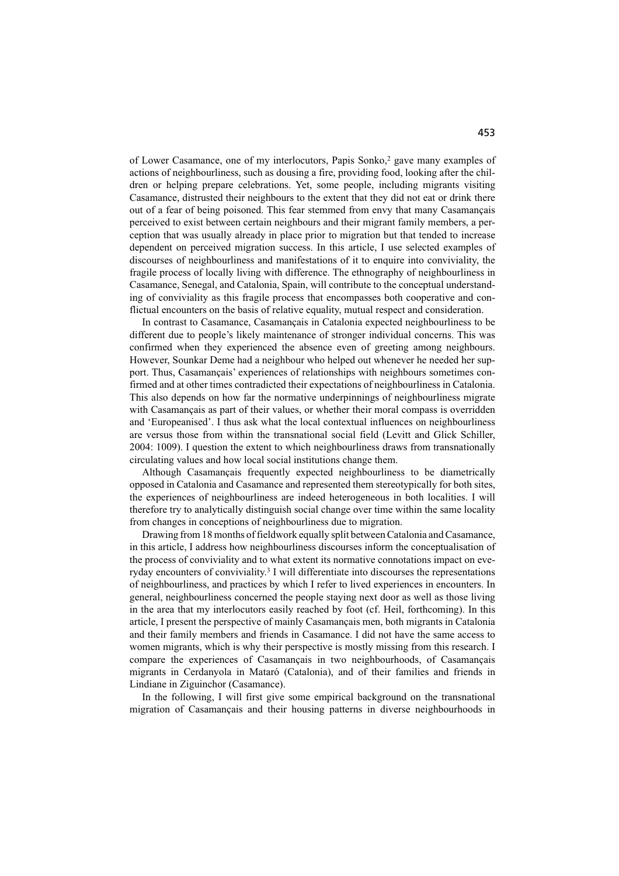of Lower Casamance, one of my interlocutors, Papis Sonko,2 gave many examples of actions of neighbourliness, such as dousing a fire, providing food, looking after the children or helping prepare celebrations. Yet, some people, including migrants visiting Casamance, distrusted their neighbours to the extent that they did not eat or drink there out of a fear of being poisoned. This fear stemmed from envy that many Casamançais perceived to exist between certain neighbours and their migrant family members, a perception that was usually already in place prior to migration but that tended to increase dependent on perceived migration success. In this article, I use selected examples of discourses of neighbourliness and manifestations of it to enquire into conviviality, the fragile process of locally living with difference. The ethnography of neighbourliness in Casamance, Senegal, and Catalonia, Spain, will contribute to the conceptual understanding of conviviality as this fragile process that encompasses both cooperative and conflictual encounters on the basis of relative equality, mutual respect and consideration.

In contrast to Casamance, Casamançais in Catalonia expected neighbourliness to be different due to people's likely maintenance of stronger individual concerns. This was confirmed when they experienced the absence even of greeting among neighbours. However, Sounkar Deme had a neighbour who helped out whenever he needed her support. Thus, Casamançais' experiences of relationships with neighbours sometimes confirmed and at other times contradicted their expectations of neighbourliness in Catalonia. This also depends on how far the normative underpinnings of neighbourliness migrate with Casamançais as part of their values, or whether their moral compass is overridden and 'Europeanised'. I thus ask what the local contextual influences on neighbourliness are versus those from within the transnational social field (Levitt and Glick Schiller, 2004: 1009). I question the extent to which neighbourliness draws from transnationally circulating values and how local social institutions change them.

Although Casamançais frequently expected neighbourliness to be diametrically opposed in Catalonia and Casamance and represented them stereotypically for both sites, the experiences of neighbourliness are indeed heterogeneous in both localities. I will therefore try to analytically distinguish social change over time within the same locality from changes in conceptions of neighbourliness due to migration.

Drawing from 18 months of fieldwork equally split between Catalonia and Casamance, in this article, I address how neighbourliness discourses inform the conceptualisation of the process of conviviality and to what extent its normative connotations impact on everyday encounters of conviviality.3 I will differentiate into discourses the representations of neighbourliness, and practices by which I refer to lived experiences in encounters. In general, neighbourliness concerned the people staying next door as well as those living in the area that my interlocutors easily reached by foot (cf. Heil, forthcoming). In this article, I present the perspective of mainly Casamançais men, both migrants in Catalonia and their family members and friends in Casamance. I did not have the same access to women migrants, which is why their perspective is mostly missing from this research. I compare the experiences of Casamançais in two neighbourhoods, of Casamançais migrants in Cerdanyola in Mataró (Catalonia), and of their families and friends in Lindiane in Ziguinchor (Casamance).

In the following, I will first give some empirical background on the transnational migration of Casamançais and their housing patterns in diverse neighbourhoods in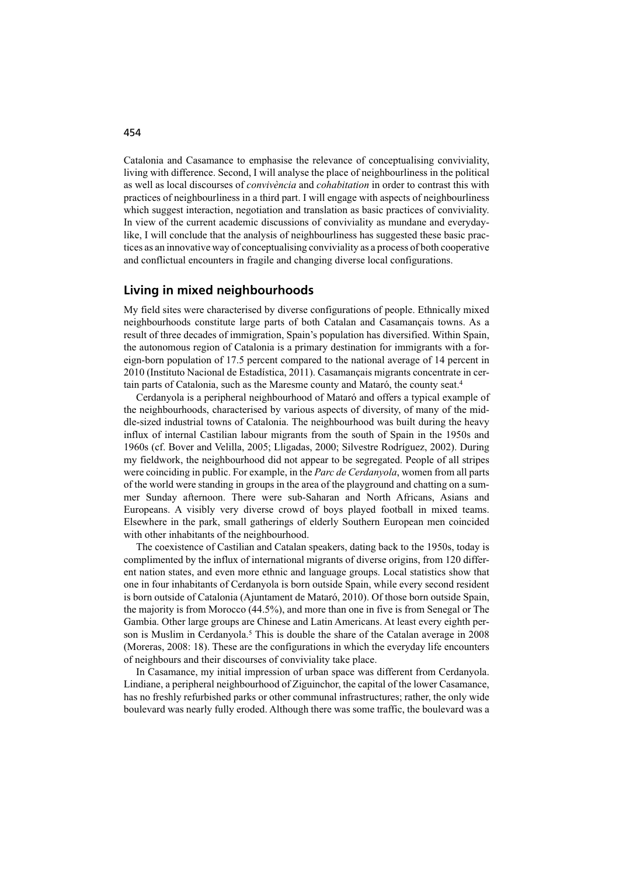Catalonia and Casamance to emphasise the relevance of conceptualising conviviality, living with difference. Second, I will analyse the place of neighbourliness in the political as well as local discourses of *convivència* and *cohabitation* in order to contrast this with practices of neighbourliness in a third part. I will engage with aspects of neighbourliness which suggest interaction, negotiation and translation as basic practices of conviviality. In view of the current academic discussions of conviviality as mundane and everydaylike, I will conclude that the analysis of neighbourliness has suggested these basic practices as an innovative way of conceptualising conviviality as a process of both cooperative and conflictual encounters in fragile and changing diverse local configurations.

## **Living in mixed neighbourhoods**

My field sites were characterised by diverse configurations of people. Ethnically mixed neighbourhoods constitute large parts of both Catalan and Casamançais towns. As a result of three decades of immigration, Spain's population has diversified. Within Spain, the autonomous region of Catalonia is a primary destination for immigrants with a foreign-born population of 17.5 percent compared to the national average of 14 percent in 2010 (Instituto Nacional de Estadística, 2011). Casamançais migrants concentrate in certain parts of Catalonia, such as the Maresme county and Mataró, the county seat.4

Cerdanyola is a peripheral neighbourhood of Mataró and offers a typical example of the neighbourhoods, characterised by various aspects of diversity, of many of the middle-sized industrial towns of Catalonia. The neighbourhood was built during the heavy influx of internal Castilian labour migrants from the south of Spain in the 1950s and 1960s (cf. Bover and Velilla, 2005; Lligadas, 2000; Silvestre Rodríguez, 2002). During my fieldwork, the neighbourhood did not appear to be segregated. People of all stripes were coinciding in public. For example, in the *Parc de Cerdanyola*, women from all parts of the world were standing in groups in the area of the playground and chatting on a summer Sunday afternoon. There were sub-Saharan and North Africans, Asians and Europeans. A visibly very diverse crowd of boys played football in mixed teams. Elsewhere in the park, small gatherings of elderly Southern European men coincided with other inhabitants of the neighbourhood.

The coexistence of Castilian and Catalan speakers, dating back to the 1950s, today is complimented by the influx of international migrants of diverse origins, from 120 different nation states, and even more ethnic and language groups. Local statistics show that one in four inhabitants of Cerdanyola is born outside Spain, while every second resident is born outside of Catalonia (Ajuntament de Mataró, 2010). Of those born outside Spain, the majority is from Morocco (44.5%), and more than one in five is from Senegal or The Gambia. Other large groups are Chinese and Latin Americans. At least every eighth person is Muslim in Cerdanyola.<sup>5</sup> This is double the share of the Catalan average in 2008 (Moreras, 2008: 18). These are the configurations in which the everyday life encounters of neighbours and their discourses of conviviality take place.

In Casamance, my initial impression of urban space was different from Cerdanyola. Lindiane, a peripheral neighbourhood of Ziguinchor, the capital of the lower Casamance, has no freshly refurbished parks or other communal infrastructures; rather, the only wide boulevard was nearly fully eroded. Although there was some traffic, the boulevard was a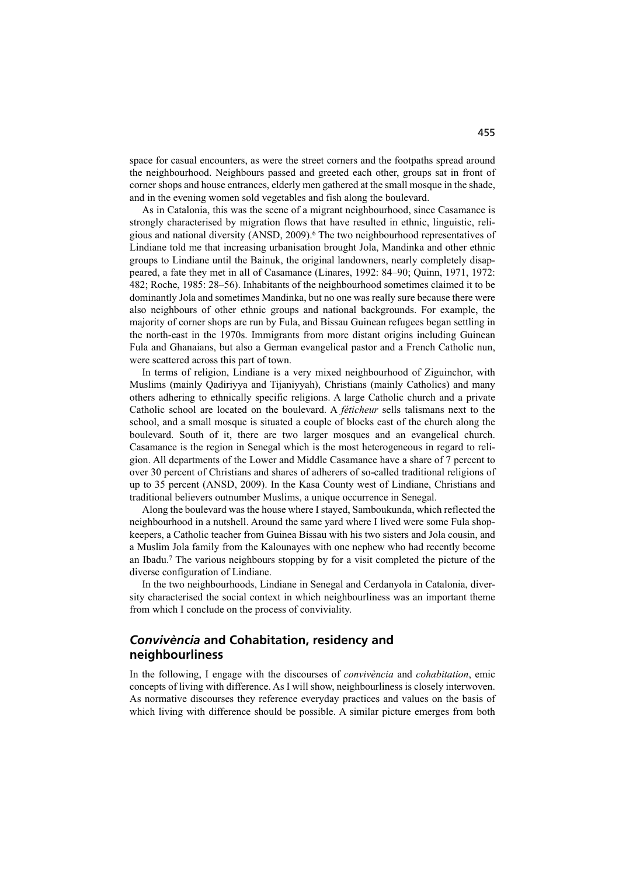space for casual encounters, as were the street corners and the footpaths spread around the neighbourhood. Neighbours passed and greeted each other, groups sat in front of corner shops and house entrances, elderly men gathered at the small mosque in the shade, and in the evening women sold vegetables and fish along the boulevard.

As in Catalonia, this was the scene of a migrant neighbourhood, since Casamance is strongly characterised by migration flows that have resulted in ethnic, linguistic, religious and national diversity (ANSD, 2009).6 The two neighbourhood representatives of Lindiane told me that increasing urbanisation brought Jola, Mandinka and other ethnic groups to Lindiane until the Bainuk, the original landowners, nearly completely disappeared, a fate they met in all of Casamance (Linares, 1992: 84–90; Quinn, 1971, 1972: 482; Roche, 1985: 28–56). Inhabitants of the neighbourhood sometimes claimed it to be dominantly Jola and sometimes Mandinka, but no one was really sure because there were also neighbours of other ethnic groups and national backgrounds. For example, the majority of corner shops are run by Fula, and Bissau Guinean refugees began settling in the north-east in the 1970s. Immigrants from more distant origins including Guinean Fula and Ghanaians, but also a German evangelical pastor and a French Catholic nun, were scattered across this part of town.

In terms of religion, Lindiane is a very mixed neighbourhood of Ziguinchor, with Muslims (mainly Qadiriyya and Tijaniyyah), Christians (mainly Catholics) and many others adhering to ethnically specific religions. A large Catholic church and a private Catholic school are located on the boulevard. A *féticheur* sells talismans next to the school, and a small mosque is situated a couple of blocks east of the church along the boulevard. South of it, there are two larger mosques and an evangelical church. Casamance is the region in Senegal which is the most heterogeneous in regard to religion. All departments of the Lower and Middle Casamance have a share of 7 percent to over 30 percent of Christians and shares of adherers of so-called traditional religions of up to 35 percent (ANSD, 2009). In the Kasa County west of Lindiane, Christians and traditional believers outnumber Muslims, a unique occurrence in Senegal.

Along the boulevard was the house where I stayed, Samboukunda, which reflected the neighbourhood in a nutshell. Around the same yard where I lived were some Fula shopkeepers, a Catholic teacher from Guinea Bissau with his two sisters and Jola cousin, and a Muslim Jola family from the Kalounayes with one nephew who had recently become an Ibadu.7 The various neighbours stopping by for a visit completed the picture of the diverse configuration of Lindiane.

In the two neighbourhoods, Lindiane in Senegal and Cerdanyola in Catalonia, diversity characterised the social context in which neighbourliness was an important theme from which I conclude on the process of conviviality.

# *Convivència* **and Cohabitation, residency and neighbourliness**

In the following, I engage with the discourses of *convivència* and *cohabitation*, emic concepts of living with difference. As I will show, neighbourliness is closely interwoven. As normative discourses they reference everyday practices and values on the basis of which living with difference should be possible. A similar picture emerges from both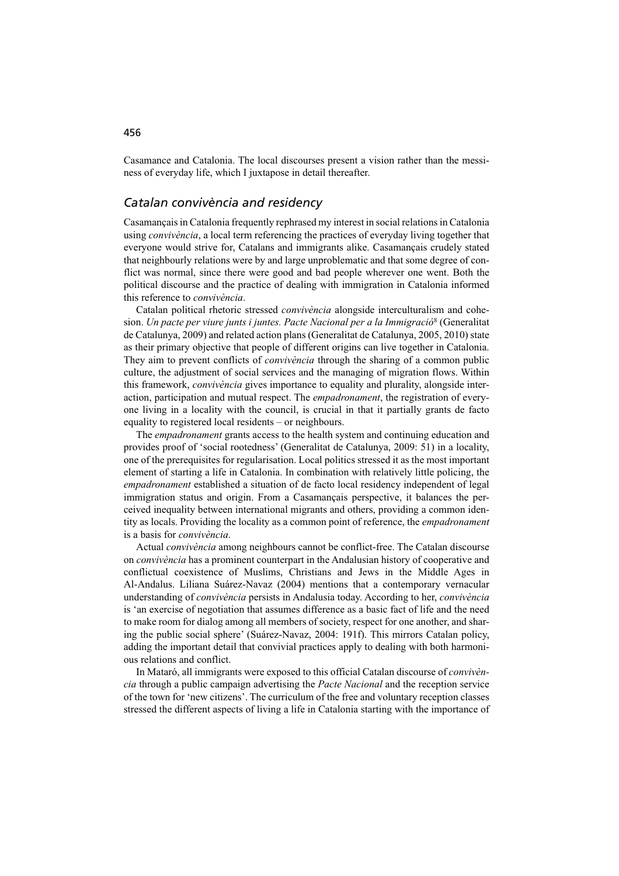Casamance and Catalonia. The local discourses present a vision rather than the messiness of everyday life, which I juxtapose in detail thereafter.

## *Catalan convivència and residency*

Casamançais in Catalonia frequently rephrased my interest in social relations in Catalonia using *convivència*, a local term referencing the practices of everyday living together that everyone would strive for, Catalans and immigrants alike. Casamançais crudely stated that neighbourly relations were by and large unproblematic and that some degree of conflict was normal, since there were good and bad people wherever one went. Both the political discourse and the practice of dealing with immigration in Catalonia informed this reference to *convivència*.

Catalan political rhetoric stressed *convivència* alongside interculturalism and cohesion. *Un pacte per viure junts i juntes. Pacte Nacional per a la Immigració*8 (Generalitat de Catalunya, 2009) and related action plans (Generalitat de Catalunya, 2005, 2010) state as their primary objective that people of different origins can live together in Catalonia. They aim to prevent conflicts of *convivència* through the sharing of a common public culture, the adjustment of social services and the managing of migration flows. Within this framework, *convivència* gives importance to equality and plurality, alongside interaction, participation and mutual respect. The *empadronament*, the registration of everyone living in a locality with the council, is crucial in that it partially grants de facto equality to registered local residents – or neighbours.

The *empadronament* grants access to the health system and continuing education and provides proof of 'social rootedness' (Generalitat de Catalunya, 2009: 51) in a locality, one of the prerequisites for regularisation. Local politics stressed it as the most important element of starting a life in Catalonia. In combination with relatively little policing, the *empadronament* established a situation of de facto local residency independent of legal immigration status and origin. From a Casamançais perspective, it balances the perceived inequality between international migrants and others, providing a common identity as locals. Providing the locality as a common point of reference, the *empadronament* is a basis for *convivència*.

Actual *convivència* among neighbours cannot be conflict-free. The Catalan discourse on *convivència* has a prominent counterpart in the Andalusian history of cooperative and conflictual coexistence of Muslims, Christians and Jews in the Middle Ages in Al-Andalus. Liliana Suárez-Navaz (2004) mentions that a contemporary vernacular understanding of *convivència* persists in Andalusia today. According to her, *convivència* is 'an exercise of negotiation that assumes difference as a basic fact of life and the need to make room for dialog among all members of society, respect for one another, and sharing the public social sphere' (Suárez-Navaz, 2004: 191f). This mirrors Catalan policy, adding the important detail that convivial practices apply to dealing with both harmonious relations and conflict.

In Mataró, all immigrants were exposed to this official Catalan discourse of *convivència* through a public campaign advertising the *Pacte Nacional* and the reception service of the town for 'new citizens'. The curriculum of the free and voluntary reception classes stressed the different aspects of living a life in Catalonia starting with the importance of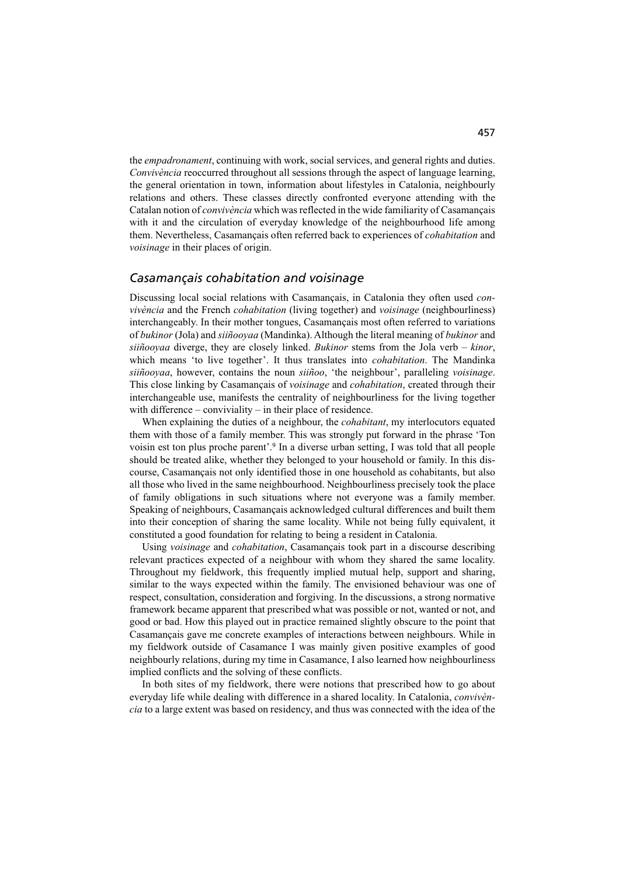the *empadronament*, continuing with work, social services, and general rights and duties. *Convivència* reoccurred throughout all sessions through the aspect of language learning, the general orientation in town, information about lifestyles in Catalonia, neighbourly relations and others. These classes directly confronted everyone attending with the Catalan notion of *convivència* which was reflected in the wide familiarity of Casamançais with it and the circulation of everyday knowledge of the neighbourhood life among them. Nevertheless, Casamançais often referred back to experiences of *cohabitation* and *voisinage* in their places of origin.

## *Casamançais cohabitation and voisinage*

Discussing local social relations with Casamançais, in Catalonia they often used *convivència* and the French *cohabitation* (living together) and *voisinage* (neighbourliness) interchangeably. In their mother tongues, Casamançais most often referred to variations of *bukinor* (Jola) and *siiñooyaa* (Mandinka). Although the literal meaning of *bukinor* and *siiñooyaa* diverge, they are closely linked. *Bukinor* stems from the Jola verb – *kinor*, which means 'to live together'. It thus translates into *cohabitation*. The Mandinka *siiñooyaa*, however, contains the noun *siiñoo*, 'the neighbour', paralleling *voisinage*. This close linking by Casamançais of *voisinage* and *cohabitation*, created through their interchangeable use, manifests the centrality of neighbourliness for the living together with difference – conviviality – in their place of residence.

When explaining the duties of a neighbour, the *cohabitant*, my interlocutors equated them with those of a family member. This was strongly put forward in the phrase 'Ton voisin est ton plus proche parent'.9 In a diverse urban setting, I was told that all people should be treated alike, whether they belonged to your household or family. In this discourse, Casamançais not only identified those in one household as cohabitants, but also all those who lived in the same neighbourhood. Neighbourliness precisely took the place of family obligations in such situations where not everyone was a family member. Speaking of neighbours, Casamançais acknowledged cultural differences and built them into their conception of sharing the same locality. While not being fully equivalent, it constituted a good foundation for relating to being a resident in Catalonia.

Using *voisinage* and *cohabitation*, Casamançais took part in a discourse describing relevant practices expected of a neighbour with whom they shared the same locality. Throughout my fieldwork, this frequently implied mutual help, support and sharing, similar to the ways expected within the family. The envisioned behaviour was one of respect, consultation, consideration and forgiving. In the discussions, a strong normative framework became apparent that prescribed what was possible or not, wanted or not, and good or bad. How this played out in practice remained slightly obscure to the point that Casamançais gave me concrete examples of interactions between neighbours. While in my fieldwork outside of Casamance I was mainly given positive examples of good neighbourly relations, during my time in Casamance, I also learned how neighbourliness implied conflicts and the solving of these conflicts.

In both sites of my fieldwork, there were notions that prescribed how to go about everyday life while dealing with difference in a shared locality. In Catalonia, *convivència* to a large extent was based on residency, and thus was connected with the idea of the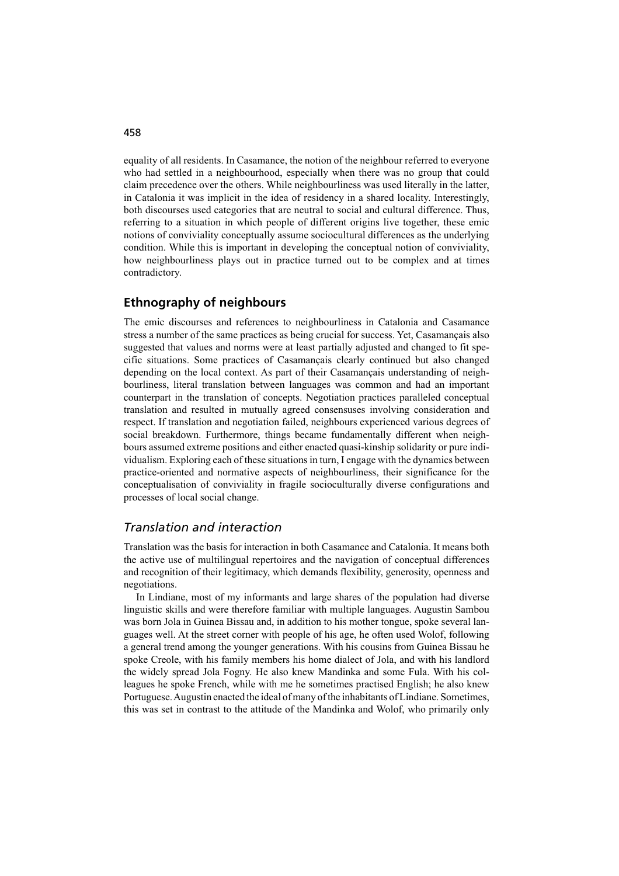equality of all residents. In Casamance, the notion of the neighbour referred to everyone who had settled in a neighbourhood, especially when there was no group that could claim precedence over the others. While neighbourliness was used literally in the latter, in Catalonia it was implicit in the idea of residency in a shared locality. Interestingly, both discourses used categories that are neutral to social and cultural difference. Thus, referring to a situation in which people of different origins live together, these emic notions of conviviality conceptually assume sociocultural differences as the underlying condition. While this is important in developing the conceptual notion of conviviality, how neighbourliness plays out in practice turned out to be complex and at times contradictory.

## **Ethnography of neighbours**

The emic discourses and references to neighbourliness in Catalonia and Casamance stress a number of the same practices as being crucial for success. Yet, Casamançais also suggested that values and norms were at least partially adjusted and changed to fit specific situations. Some practices of Casamançais clearly continued but also changed depending on the local context. As part of their Casamançais understanding of neighbourliness, literal translation between languages was common and had an important counterpart in the translation of concepts. Negotiation practices paralleled conceptual translation and resulted in mutually agreed consensuses involving consideration and respect. If translation and negotiation failed, neighbours experienced various degrees of social breakdown. Furthermore, things became fundamentally different when neighbours assumed extreme positions and either enacted quasi-kinship solidarity or pure individualism. Exploring each of these situations in turn, I engage with the dynamics between practice-oriented and normative aspects of neighbourliness, their significance for the conceptualisation of conviviality in fragile socioculturally diverse configurations and processes of local social change.

## *Translation and interaction*

Translation was the basis for interaction in both Casamance and Catalonia. It means both the active use of multilingual repertoires and the navigation of conceptual differences and recognition of their legitimacy, which demands flexibility, generosity, openness and negotiations.

In Lindiane, most of my informants and large shares of the population had diverse linguistic skills and were therefore familiar with multiple languages. Augustin Sambou was born Jola in Guinea Bissau and, in addition to his mother tongue, spoke several languages well. At the street corner with people of his age, he often used Wolof, following a general trend among the younger generations. With his cousins from Guinea Bissau he spoke Creole, with his family members his home dialect of Jola, and with his landlord the widely spread Jola Fogny. He also knew Mandinka and some Fula. With his colleagues he spoke French, while with me he sometimes practised English; he also knew Portuguese. Augustin enacted the ideal of many of the inhabitants of Lindiane. Sometimes, this was set in contrast to the attitude of the Mandinka and Wolof, who primarily only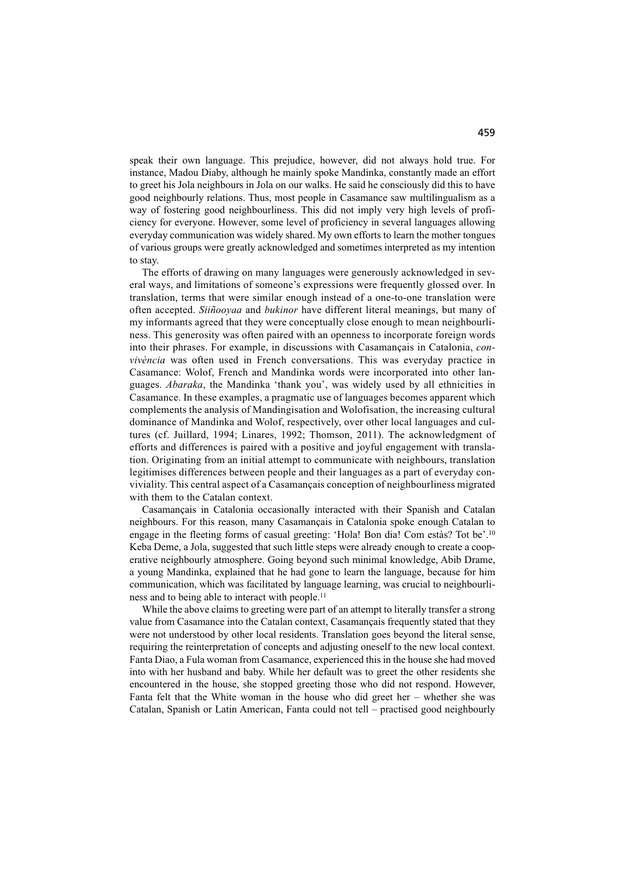speak their own language. This prejudice, however, did not always hold true. For instance, Madou Diaby, although he mainly spoke Mandinka, constantly made an effort to greet his Jola neighbours in Jola on our walks. He said he consciously did this to have good neighbourly relations. Thus, most people in Casamance saw multilingualism as a way of fostering good neighbourliness. This did not imply very high levels of proficiency for everyone. However, some level of proficiency in several languages allowing everyday communication was widely shared. My own efforts to learn the mother tongues of various groups were greatly acknowledged and sometimes interpreted as my intention to stay.

The efforts of drawing on many languages were generously acknowledged in several ways, and limitations of someone's expressions were frequently glossed over. In translation, terms that were similar enough instead of a one-to-one translation were often accepted. *Siiñooyaa* and *bukinor* have different literal meanings, but many of my informants agreed that they were conceptually close enough to mean neighbourliness. This generosity was often paired with an openness to incorporate foreign words into their phrases. For example, in discussions with Casamançais in Catalonia, *convivència* was often used in French conversations. This was everyday practice in Casamance: Wolof, French and Mandinka words were incorporated into other languages. *Abaraka*, the Mandinka 'thank you', was widely used by all ethnicities in Casamance. In these examples, a pragmatic use of languages becomes apparent which complements the analysis of Mandingisation and Wolofisation, the increasing cultural dominance of Mandinka and Wolof, respectively, over other local languages and cultures (cf. Juillard, 1994; Linares, 1992; Thomson, 2011). The acknowledgment of efforts and differences is paired with a positive and joyful engagement with translation. Originating from an initial attempt to communicate with neighbours, translation legitimises differences between people and their languages as a part of everyday conviviality. This central aspect of a Casamançais conception of neighbourliness migrated with them to the Catalan context.

Casamançais in Catalonia occasionally interacted with their Spanish and Catalan neighbours. For this reason, many Casamançais in Catalonia spoke enough Catalan to engage in the fleeting forms of casual greeting: 'Hola! Bon dia! Com estàs? Tot be'.<sup>10</sup> Keba Deme, a Jola, suggested that such little steps were already enough to create a cooperative neighbourly atmosphere. Going beyond such minimal knowledge, Abib Drame, a young Mandinka, explained that he had gone to learn the language, because for him communication, which was facilitated by language learning, was crucial to neighbourliness and to being able to interact with people.11

While the above claims to greeting were part of an attempt to literally transfer a strong value from Casamance into the Catalan context, Casamançais frequently stated that they were not understood by other local residents. Translation goes beyond the literal sense, requiring the reinterpretation of concepts and adjusting oneself to the new local context. Fanta Diao, a Fula woman from Casamance, experienced this in the house she had moved into with her husband and baby. While her default was to greet the other residents she encountered in the house, she stopped greeting those who did not respond. However, Fanta felt that the White woman in the house who did greet her – whether she was Catalan, Spanish or Latin American, Fanta could not tell – practised good neighbourly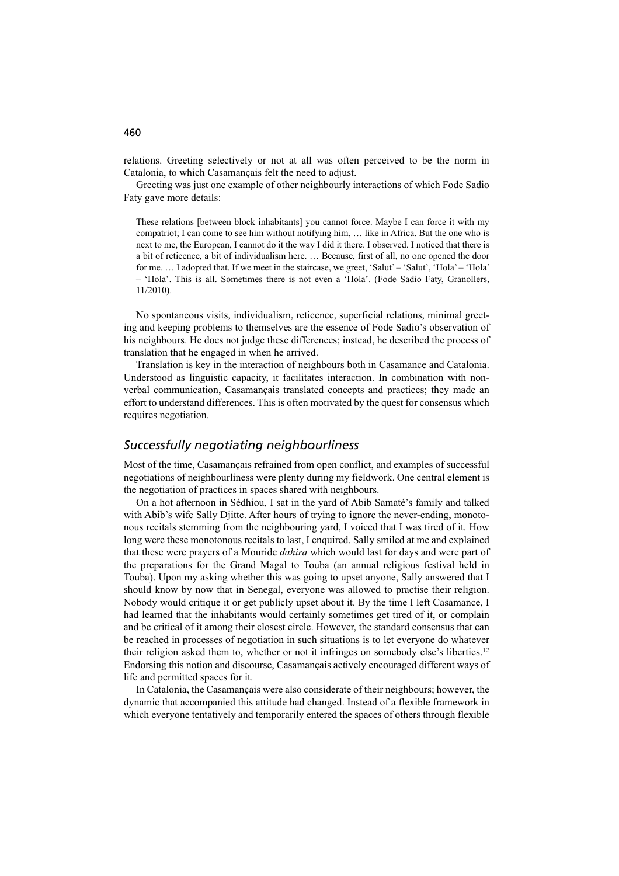relations. Greeting selectively or not at all was often perceived to be the norm in Catalonia, to which Casamançais felt the need to adjust.

Greeting was just one example of other neighbourly interactions of which Fode Sadio Faty gave more details:

These relations [between block inhabitants] you cannot force. Maybe I can force it with my compatriot; I can come to see him without notifying him, … like in Africa. But the one who is next to me, the European, I cannot do it the way I did it there. I observed. I noticed that there is a bit of reticence, a bit of individualism here. … Because, first of all, no one opened the door for me. … I adopted that. If we meet in the staircase, we greet, 'Salut' – 'Salut', 'Hola' – 'Hola' – 'Hola'. This is all. Sometimes there is not even a 'Hola'. (Fode Sadio Faty, Granollers, 11/2010).

No spontaneous visits, individualism, reticence, superficial relations, minimal greeting and keeping problems to themselves are the essence of Fode Sadio's observation of his neighbours. He does not judge these differences; instead, he described the process of translation that he engaged in when he arrived.

Translation is key in the interaction of neighbours both in Casamance and Catalonia. Understood as linguistic capacity, it facilitates interaction. In combination with nonverbal communication, Casamançais translated concepts and practices; they made an effort to understand differences. This is often motivated by the quest for consensus which requires negotiation.

## *Successfully negotiating neighbourliness*

Most of the time, Casamançais refrained from open conflict, and examples of successful negotiations of neighbourliness were plenty during my fieldwork. One central element is the negotiation of practices in spaces shared with neighbours.

On a hot afternoon in Sédhiou, I sat in the yard of Abib Samaté's family and talked with Abib's wife Sally Djitte. After hours of trying to ignore the never-ending, monotonous recitals stemming from the neighbouring yard, I voiced that I was tired of it. How long were these monotonous recitals to last, I enquired. Sally smiled at me and explained that these were prayers of a Mouride *dahira* which would last for days and were part of the preparations for the Grand Magal to Touba (an annual religious festival held in Touba). Upon my asking whether this was going to upset anyone, Sally answered that I should know by now that in Senegal, everyone was allowed to practise their religion. Nobody would critique it or get publicly upset about it. By the time I left Casamance, I had learned that the inhabitants would certainly sometimes get tired of it, or complain and be critical of it among their closest circle. However, the standard consensus that can be reached in processes of negotiation in such situations is to let everyone do whatever their religion asked them to, whether or not it infringes on somebody else's liberties.12 Endorsing this notion and discourse, Casamançais actively encouraged different ways of life and permitted spaces for it.

In Catalonia, the Casamançais were also considerate of their neighbours; however, the dynamic that accompanied this attitude had changed. Instead of a flexible framework in which everyone tentatively and temporarily entered the spaces of others through flexible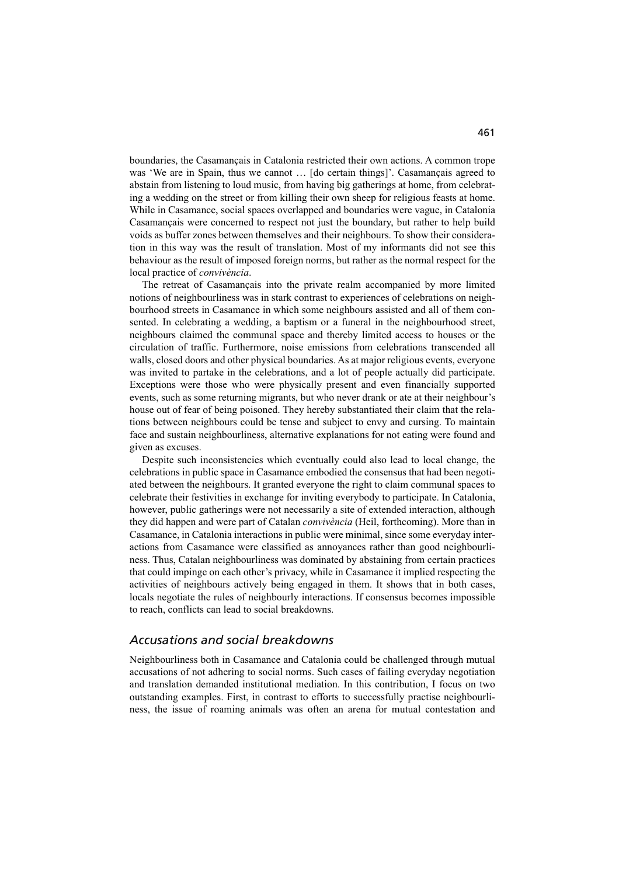boundaries, the Casamançais in Catalonia restricted their own actions. A common trope was 'We are in Spain, thus we cannot … [do certain things]'. Casamançais agreed to abstain from listening to loud music, from having big gatherings at home, from celebrating a wedding on the street or from killing their own sheep for religious feasts at home. While in Casamance, social spaces overlapped and boundaries were vague, in Catalonia Casamançais were concerned to respect not just the boundary, but rather to help build voids as buffer zones between themselves and their neighbours. To show their consideration in this way was the result of translation. Most of my informants did not see this behaviour as the result of imposed foreign norms, but rather as the normal respect for the local practice of *convivència*.

The retreat of Casamançais into the private realm accompanied by more limited notions of neighbourliness was in stark contrast to experiences of celebrations on neighbourhood streets in Casamance in which some neighbours assisted and all of them consented. In celebrating a wedding, a baptism or a funeral in the neighbourhood street, neighbours claimed the communal space and thereby limited access to houses or the circulation of traffic. Furthermore, noise emissions from celebrations transcended all walls, closed doors and other physical boundaries. As at major religious events, everyone was invited to partake in the celebrations, and a lot of people actually did participate. Exceptions were those who were physically present and even financially supported events, such as some returning migrants, but who never drank or ate at their neighbour's house out of fear of being poisoned. They hereby substantiated their claim that the relations between neighbours could be tense and subject to envy and cursing. To maintain face and sustain neighbourliness, alternative explanations for not eating were found and given as excuses.

Despite such inconsistencies which eventually could also lead to local change, the celebrations in public space in Casamance embodied the consensus that had been negotiated between the neighbours. It granted everyone the right to claim communal spaces to celebrate their festivities in exchange for inviting everybody to participate. In Catalonia, however, public gatherings were not necessarily a site of extended interaction, although they did happen and were part of Catalan *convivència* (Heil, forthcoming). More than in Casamance, in Catalonia interactions in public were minimal, since some everyday interactions from Casamance were classified as annoyances rather than good neighbourliness. Thus, Catalan neighbourliness was dominated by abstaining from certain practices that could impinge on each other's privacy, while in Casamance it implied respecting the activities of neighbours actively being engaged in them. It shows that in both cases, locals negotiate the rules of neighbourly interactions. If consensus becomes impossible to reach, conflicts can lead to social breakdowns.

## *Accusations and social breakdowns*

Neighbourliness both in Casamance and Catalonia could be challenged through mutual accusations of not adhering to social norms. Such cases of failing everyday negotiation and translation demanded institutional mediation. In this contribution, I focus on two outstanding examples. First, in contrast to efforts to successfully practise neighbourliness, the issue of roaming animals was often an arena for mutual contestation and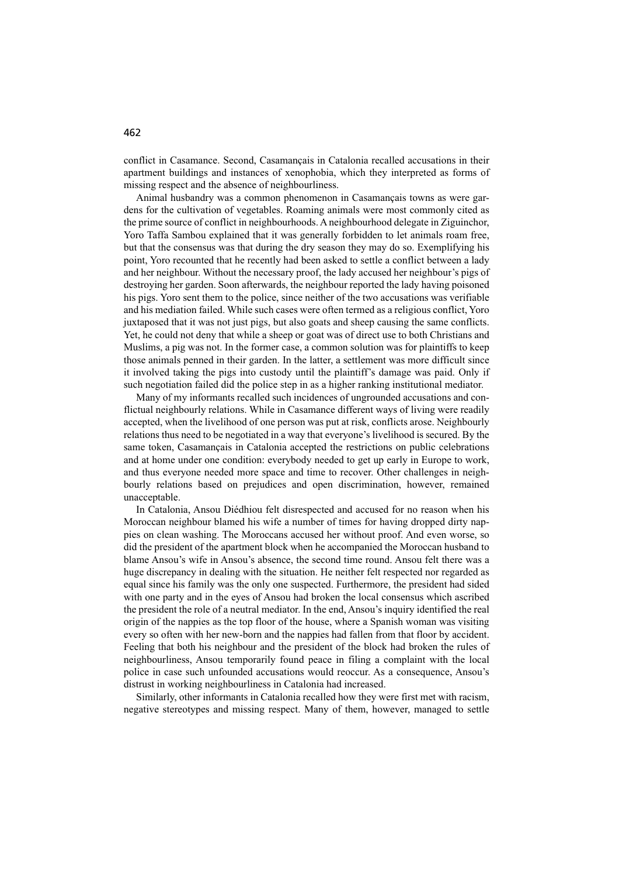conflict in Casamance. Second, Casamançais in Catalonia recalled accusations in their apartment buildings and instances of xenophobia, which they interpreted as forms of missing respect and the absence of neighbourliness.

Animal husbandry was a common phenomenon in Casamançais towns as were gardens for the cultivation of vegetables. Roaming animals were most commonly cited as the prime source of conflict in neighbourhoods. A neighbourhood delegate in Ziguinchor, Yoro Taffa Sambou explained that it was generally forbidden to let animals roam free, but that the consensus was that during the dry season they may do so. Exemplifying his point, Yoro recounted that he recently had been asked to settle a conflict between a lady and her neighbour. Without the necessary proof, the lady accused her neighbour's pigs of destroying her garden. Soon afterwards, the neighbour reported the lady having poisoned his pigs. Yoro sent them to the police, since neither of the two accusations was verifiable and his mediation failed. While such cases were often termed as a religious conflict, Yoro juxtaposed that it was not just pigs, but also goats and sheep causing the same conflicts. Yet, he could not deny that while a sheep or goat was of direct use to both Christians and Muslims, a pig was not. In the former case, a common solution was for plaintiffs to keep those animals penned in their garden. In the latter, a settlement was more difficult since it involved taking the pigs into custody until the plaintiff's damage was paid. Only if such negotiation failed did the police step in as a higher ranking institutional mediator.

Many of my informants recalled such incidences of ungrounded accusations and conflictual neighbourly relations. While in Casamance different ways of living were readily accepted, when the livelihood of one person was put at risk, conflicts arose. Neighbourly relations thus need to be negotiated in a way that everyone's livelihood is secured. By the same token, Casamançais in Catalonia accepted the restrictions on public celebrations and at home under one condition: everybody needed to get up early in Europe to work, and thus everyone needed more space and time to recover. Other challenges in neighbourly relations based on prejudices and open discrimination, however, remained unacceptable.

In Catalonia, Ansou Diédhiou felt disrespected and accused for no reason when his Moroccan neighbour blamed his wife a number of times for having dropped dirty nappies on clean washing. The Moroccans accused her without proof. And even worse, so did the president of the apartment block when he accompanied the Moroccan husband to blame Ansou's wife in Ansou's absence, the second time round. Ansou felt there was a huge discrepancy in dealing with the situation. He neither felt respected nor regarded as equal since his family was the only one suspected. Furthermore, the president had sided with one party and in the eyes of Ansou had broken the local consensus which ascribed the president the role of a neutral mediator. In the end, Ansou's inquiry identified the real origin of the nappies as the top floor of the house, where a Spanish woman was visiting every so often with her new-born and the nappies had fallen from that floor by accident. Feeling that both his neighbour and the president of the block had broken the rules of neighbourliness, Ansou temporarily found peace in filing a complaint with the local police in case such unfounded accusations would reoccur. As a consequence, Ansou's distrust in working neighbourliness in Catalonia had increased.

Similarly, other informants in Catalonia recalled how they were first met with racism, negative stereotypes and missing respect. Many of them, however, managed to settle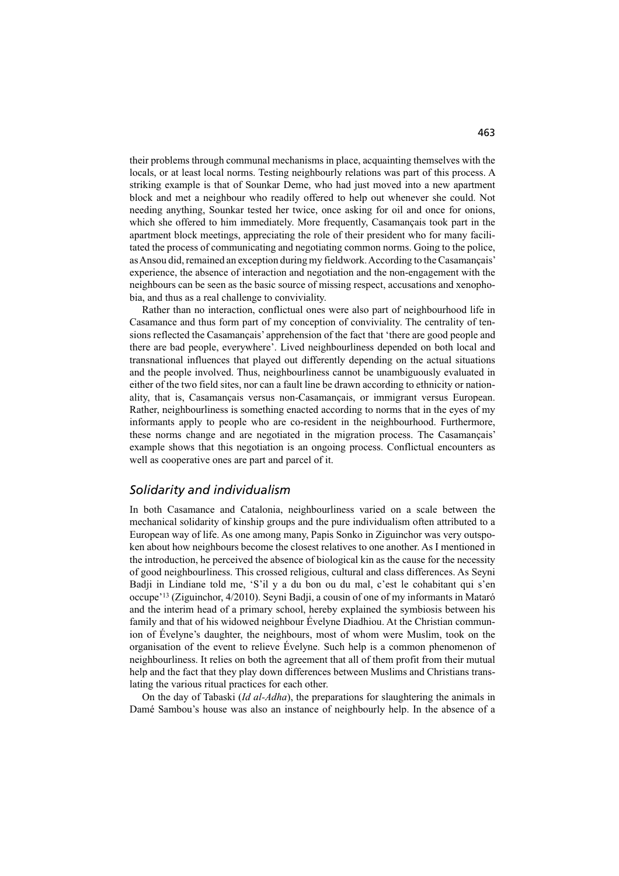their problems through communal mechanisms in place, acquainting themselves with the locals, or at least local norms. Testing neighbourly relations was part of this process. A striking example is that of Sounkar Deme, who had just moved into a new apartment block and met a neighbour who readily offered to help out whenever she could. Not needing anything, Sounkar tested her twice, once asking for oil and once for onions, which she offered to him immediately. More frequently, Casamançais took part in the apartment block meetings, appreciating the role of their president who for many facilitated the process of communicating and negotiating common norms. Going to the police, as Ansou did, remained an exception during my fieldwork. According to the Casamançais' experience, the absence of interaction and negotiation and the non-engagement with the neighbours can be seen as the basic source of missing respect, accusations and xenophobia, and thus as a real challenge to conviviality.

Rather than no interaction, conflictual ones were also part of neighbourhood life in Casamance and thus form part of my conception of conviviality. The centrality of tensions reflected the Casamançais' apprehension of the fact that 'there are good people and there are bad people, everywhere'. Lived neighbourliness depended on both local and transnational influences that played out differently depending on the actual situations and the people involved. Thus, neighbourliness cannot be unambiguously evaluated in either of the two field sites, nor can a fault line be drawn according to ethnicity or nationality, that is, Casamançais versus non-Casamançais, or immigrant versus European. Rather, neighbourliness is something enacted according to norms that in the eyes of my informants apply to people who are co-resident in the neighbourhood. Furthermore, these norms change and are negotiated in the migration process. The Casamançais' example shows that this negotiation is an ongoing process. Conflictual encounters as well as cooperative ones are part and parcel of it.

## *Solidarity and individualism*

In both Casamance and Catalonia, neighbourliness varied on a scale between the mechanical solidarity of kinship groups and the pure individualism often attributed to a European way of life. As one among many, Papis Sonko in Ziguinchor was very outspoken about how neighbours become the closest relatives to one another. As I mentioned in the introduction, he perceived the absence of biological kin as the cause for the necessity of good neighbourliness. This crossed religious, cultural and class differences. As Seyni Badji in Lindiane told me, 'S'il y a du bon ou du mal, c'est le cohabitant qui s'en occupe'13 (Ziguinchor, 4/2010). Seyni Badji, a cousin of one of my informants in Mataró and the interim head of a primary school, hereby explained the symbiosis between his family and that of his widowed neighbour Évelyne Diadhiou. At the Christian communion of Évelyne's daughter, the neighbours, most of whom were Muslim, took on the organisation of the event to relieve Évelyne. Such help is a common phenomenon of neighbourliness. It relies on both the agreement that all of them profit from their mutual help and the fact that they play down differences between Muslims and Christians translating the various ritual practices for each other.

On the day of Tabaski (*Id al-Adha*), the preparations for slaughtering the animals in Damé Sambou's house was also an instance of neighbourly help. In the absence of a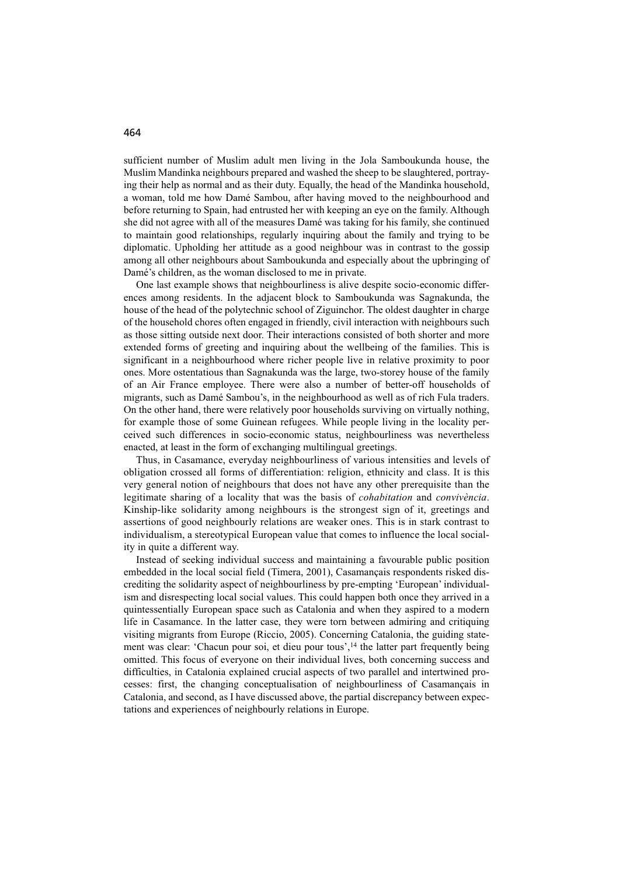sufficient number of Muslim adult men living in the Jola Samboukunda house, the Muslim Mandinka neighbours prepared and washed the sheep to be slaughtered, portraying their help as normal and as their duty. Equally, the head of the Mandinka household, a woman, told me how Damé Sambou, after having moved to the neighbourhood and before returning to Spain, had entrusted her with keeping an eye on the family. Although she did not agree with all of the measures Damé was taking for his family, she continued to maintain good relationships, regularly inquiring about the family and trying to be diplomatic. Upholding her attitude as a good neighbour was in contrast to the gossip among all other neighbours about Samboukunda and especially about the upbringing of Damé's children, as the woman disclosed to me in private.

One last example shows that neighbourliness is alive despite socio-economic differences among residents. In the adjacent block to Samboukunda was Sagnakunda, the house of the head of the polytechnic school of Ziguinchor. The oldest daughter in charge of the household chores often engaged in friendly, civil interaction with neighbours such as those sitting outside next door. Their interactions consisted of both shorter and more extended forms of greeting and inquiring about the wellbeing of the families. This is significant in a neighbourhood where richer people live in relative proximity to poor ones. More ostentatious than Sagnakunda was the large, two-storey house of the family of an Air France employee. There were also a number of better-off households of migrants, such as Damé Sambou's, in the neighbourhood as well as of rich Fula traders. On the other hand, there were relatively poor households surviving on virtually nothing, for example those of some Guinean refugees. While people living in the locality perceived such differences in socio-economic status, neighbourliness was nevertheless enacted, at least in the form of exchanging multilingual greetings.

Thus, in Casamance, everyday neighbourliness of various intensities and levels of obligation crossed all forms of differentiation: religion, ethnicity and class. It is this very general notion of neighbours that does not have any other prerequisite than the legitimate sharing of a locality that was the basis of *cohabitation* and *convivència*. Kinship-like solidarity among neighbours is the strongest sign of it, greetings and assertions of good neighbourly relations are weaker ones. This is in stark contrast to individualism, a stereotypical European value that comes to influence the local sociality in quite a different way.

Instead of seeking individual success and maintaining a favourable public position embedded in the local social field (Timera, 2001), Casamançais respondents risked discrediting the solidarity aspect of neighbourliness by pre-empting 'European' individualism and disrespecting local social values. This could happen both once they arrived in a quintessentially European space such as Catalonia and when they aspired to a modern life in Casamance. In the latter case, they were torn between admiring and critiquing visiting migrants from Europe (Riccio, 2005). Concerning Catalonia, the guiding statement was clear: 'Chacun pour soi, et dieu pour tous',<sup>14</sup> the latter part frequently being omitted. This focus of everyone on their individual lives, both concerning success and difficulties, in Catalonia explained crucial aspects of two parallel and intertwined processes: first, the changing conceptualisation of neighbourliness of Casamançais in Catalonia, and second, as I have discussed above, the partial discrepancy between expectations and experiences of neighbourly relations in Europe.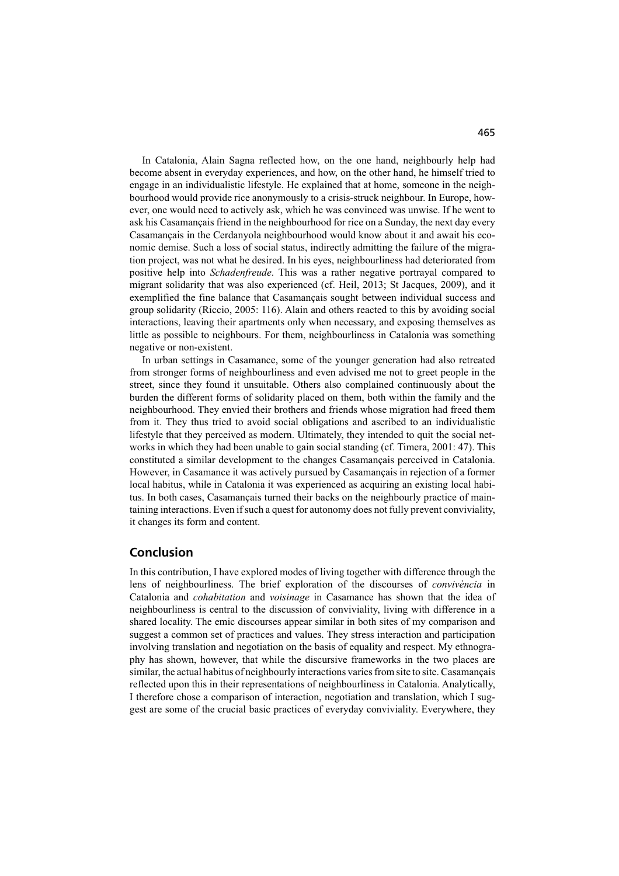In Catalonia, Alain Sagna reflected how, on the one hand, neighbourly help had become absent in everyday experiences, and how, on the other hand, he himself tried to engage in an individualistic lifestyle. He explained that at home, someone in the neighbourhood would provide rice anonymously to a crisis-struck neighbour. In Europe, however, one would need to actively ask, which he was convinced was unwise. If he went to ask his Casamançais friend in the neighbourhood for rice on a Sunday, the next day every Casamançais in the Cerdanyola neighbourhood would know about it and await his economic demise. Such a loss of social status, indirectly admitting the failure of the migration project, was not what he desired. In his eyes, neighbourliness had deteriorated from positive help into *Schadenfreude*. This was a rather negative portrayal compared to migrant solidarity that was also experienced (cf. Heil, 2013; St Jacques, 2009), and it exemplified the fine balance that Casamançais sought between individual success and group solidarity (Riccio, 2005: 116). Alain and others reacted to this by avoiding social interactions, leaving their apartments only when necessary, and exposing themselves as little as possible to neighbours. For them, neighbourliness in Catalonia was something negative or non-existent.

In urban settings in Casamance, some of the younger generation had also retreated from stronger forms of neighbourliness and even advised me not to greet people in the street, since they found it unsuitable. Others also complained continuously about the burden the different forms of solidarity placed on them, both within the family and the neighbourhood. They envied their brothers and friends whose migration had freed them from it. They thus tried to avoid social obligations and ascribed to an individualistic lifestyle that they perceived as modern. Ultimately, they intended to quit the social networks in which they had been unable to gain social standing (cf. Timera, 2001: 47). This constituted a similar development to the changes Casamançais perceived in Catalonia. However, in Casamance it was actively pursued by Casamançais in rejection of a former local habitus, while in Catalonia it was experienced as acquiring an existing local habitus. In both cases, Casamançais turned their backs on the neighbourly practice of maintaining interactions. Even if such a quest for autonomy does not fully prevent conviviality, it changes its form and content.

## **Conclusion**

In this contribution, I have explored modes of living together with difference through the lens of neighbourliness. The brief exploration of the discourses of *convivència* in Catalonia and *cohabitation* and *voisinage* in Casamance has shown that the idea of neighbourliness is central to the discussion of conviviality, living with difference in a shared locality. The emic discourses appear similar in both sites of my comparison and suggest a common set of practices and values. They stress interaction and participation involving translation and negotiation on the basis of equality and respect. My ethnography has shown, however, that while the discursive frameworks in the two places are similar, the actual habitus of neighbourly interactions varies from site to site. Casamançais reflected upon this in their representations of neighbourliness in Catalonia. Analytically, I therefore chose a comparison of interaction, negotiation and translation, which I suggest are some of the crucial basic practices of everyday conviviality. Everywhere, they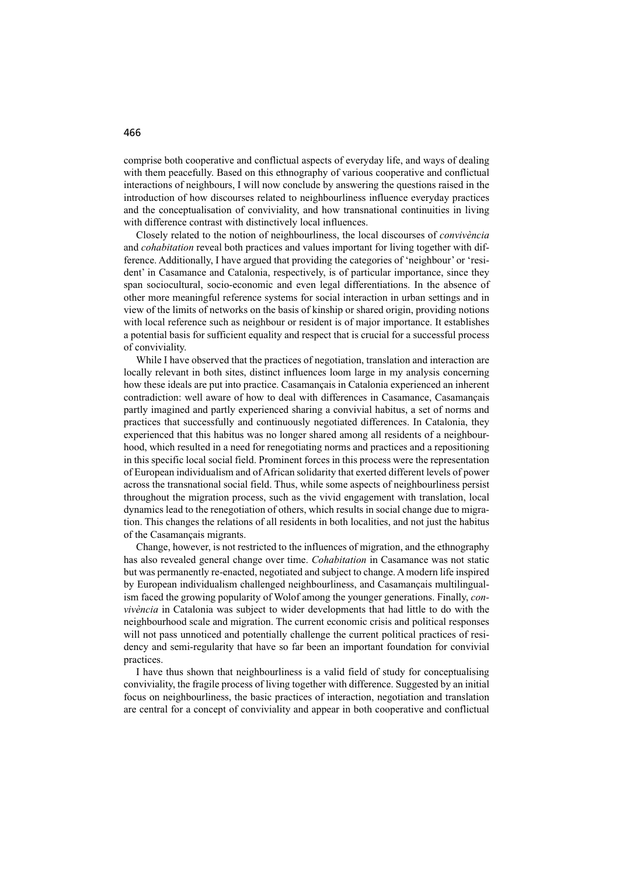comprise both cooperative and conflictual aspects of everyday life, and ways of dealing with them peacefully. Based on this ethnography of various cooperative and conflictual interactions of neighbours, I will now conclude by answering the questions raised in the introduction of how discourses related to neighbourliness influence everyday practices and the conceptualisation of conviviality, and how transnational continuities in living with difference contrast with distinctively local influences.

Closely related to the notion of neighbourliness, the local discourses of *convivència* and *cohabitation* reveal both practices and values important for living together with difference. Additionally, I have argued that providing the categories of 'neighbour' or 'resident' in Casamance and Catalonia, respectively, is of particular importance, since they span sociocultural, socio-economic and even legal differentiations. In the absence of other more meaningful reference systems for social interaction in urban settings and in view of the limits of networks on the basis of kinship or shared origin, providing notions with local reference such as neighbour or resident is of major importance. It establishes a potential basis for sufficient equality and respect that is crucial for a successful process of conviviality.

While I have observed that the practices of negotiation, translation and interaction are locally relevant in both sites, distinct influences loom large in my analysis concerning how these ideals are put into practice. Casamançais in Catalonia experienced an inherent contradiction: well aware of how to deal with differences in Casamance, Casamançais partly imagined and partly experienced sharing a convivial habitus, a set of norms and practices that successfully and continuously negotiated differences. In Catalonia, they experienced that this habitus was no longer shared among all residents of a neighbourhood, which resulted in a need for renegotiating norms and practices and a repositioning in this specific local social field. Prominent forces in this process were the representation of European individualism and of African solidarity that exerted different levels of power across the transnational social field. Thus, while some aspects of neighbourliness persist throughout the migration process, such as the vivid engagement with translation, local dynamics lead to the renegotiation of others, which results in social change due to migration. This changes the relations of all residents in both localities, and not just the habitus of the Casamançais migrants.

Change, however, is not restricted to the influences of migration, and the ethnography has also revealed general change over time. *Cohabitation* in Casamance was not static but was permanently re-enacted, negotiated and subject to change. A modern life inspired by European individualism challenged neighbourliness, and Casamançais multilingualism faced the growing popularity of Wolof among the younger generations. Finally, *convivència* in Catalonia was subject to wider developments that had little to do with the neighbourhood scale and migration. The current economic crisis and political responses will not pass unnoticed and potentially challenge the current political practices of residency and semi-regularity that have so far been an important foundation for convivial practices.

I have thus shown that neighbourliness is a valid field of study for conceptualising conviviality, the fragile process of living together with difference. Suggested by an initial focus on neighbourliness, the basic practices of interaction, negotiation and translation are central for a concept of conviviality and appear in both cooperative and conflictual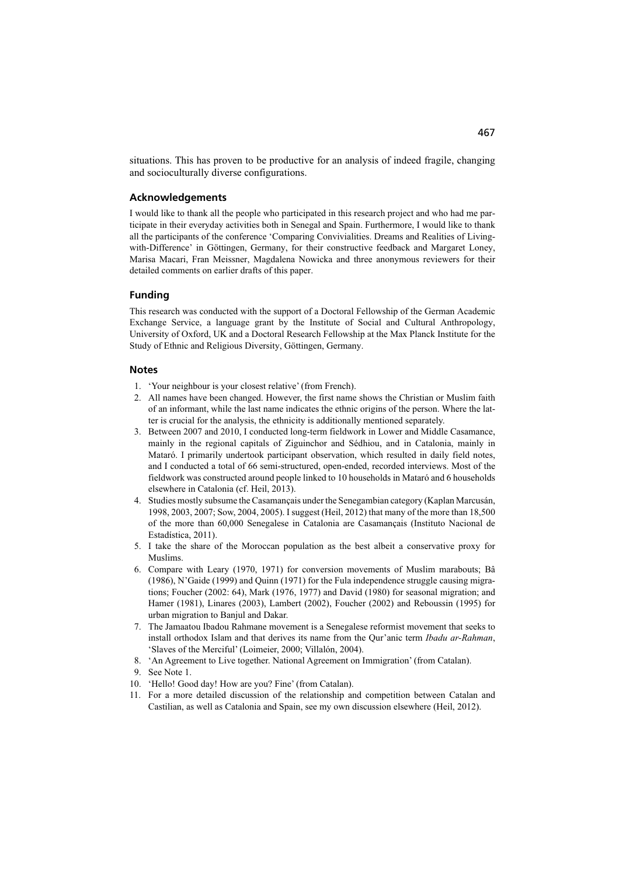situations. This has proven to be productive for an analysis of indeed fragile, changing and socioculturally diverse configurations.

#### **Acknowledgements**

I would like to thank all the people who participated in this research project and who had me participate in their everyday activities both in Senegal and Spain. Furthermore, I would like to thank all the participants of the conference 'Comparing Convivialities. Dreams and Realities of Livingwith-Difference' in Göttingen, Germany, for their constructive feedback and Margaret Loney, Marisa Macari, Fran Meissner, Magdalena Nowicka and three anonymous reviewers for their detailed comments on earlier drafts of this paper.

#### **Funding**

This research was conducted with the support of a Doctoral Fellowship of the German Academic Exchange Service, a language grant by the Institute of Social and Cultural Anthropology, University of Oxford, UK and a Doctoral Research Fellowship at the Max Planck Institute for the Study of Ethnic and Religious Diversity, Göttingen, Germany.

#### **Notes**

- 1. 'Your neighbour is your closest relative' (from French).
- 2. All names have been changed. However, the first name shows the Christian or Muslim faith of an informant, while the last name indicates the ethnic origins of the person. Where the latter is crucial for the analysis, the ethnicity is additionally mentioned separately.
- 3. Between 2007 and 2010, I conducted long-term fieldwork in Lower and Middle Casamance, mainly in the regional capitals of Ziguinchor and Sédhiou, and in Catalonia, mainly in Mataró. I primarily undertook participant observation, which resulted in daily field notes, and I conducted a total of 66 semi-structured, open-ended, recorded interviews. Most of the fieldwork was constructed around people linked to 10 households in Mataró and 6 households elsewhere in Catalonia (cf. Heil, 2013).
- 4. Studies mostly subsume the Casamançais under the Senegambian category (Kaplan Marcusán, 1998, 2003, 2007; Sow, 2004, 2005). I suggest (Heil, 2012) that many of the more than 18,500 of the more than 60,000 Senegalese in Catalonia are Casamançais (Instituto Nacional de Estadística, 2011).
- 5. I take the share of the Moroccan population as the best albeit a conservative proxy for Muslims.
- 6. Compare with Leary (1970, 1971) for conversion movements of Muslim marabouts; Bâ (1986), N'Gaide (1999) and Quinn (1971) for the Fula independence struggle causing migrations; Foucher (2002: 64), Mark (1976, 1977) and David (1980) for seasonal migration; and Hamer (1981), Linares (2003), Lambert (2002), Foucher (2002) and Reboussin (1995) for urban migration to Banjul and Dakar.
- 7. The Jamaatou Ibadou Rahmane movement is a Senegalese reformist movement that seeks to install orthodox Islam and that derives its name from the Qur'anic term *Ibadu ar-Rahman*, 'Slaves of the Merciful' (Loimeier, 2000; Villalón, 2004).
- 8. 'An Agreement to Live together. National Agreement on Immigration' (from Catalan).
- 9. See Note 1.
- 10. 'Hello! Good day! How are you? Fine' (from Catalan).
- 11. For a more detailed discussion of the relationship and competition between Catalan and Castilian, as well as Catalonia and Spain, see my own discussion elsewhere (Heil, 2012).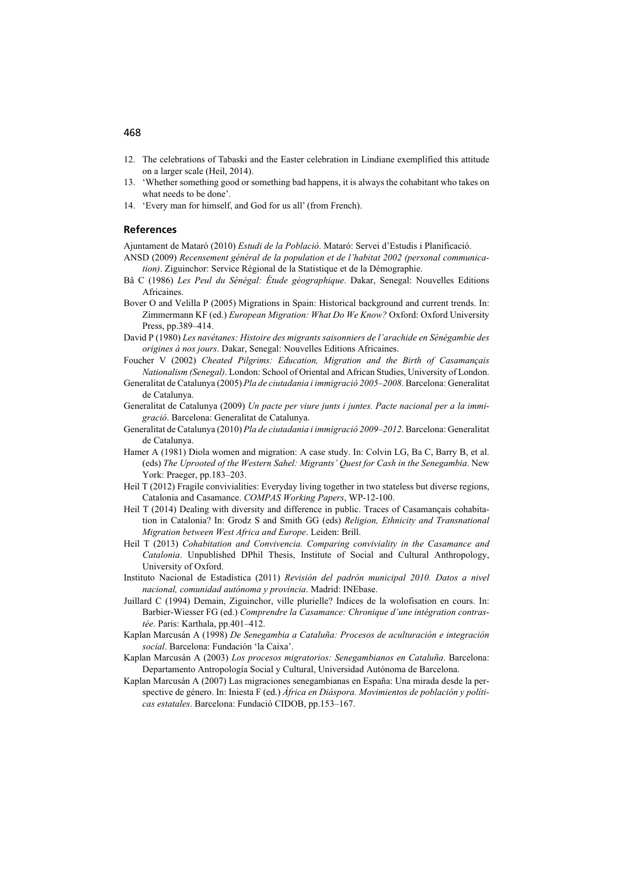- 12. The celebrations of Tabaski and the Easter celebration in Lindiane exemplified this attitude on a larger scale (Heil, 2014).
- 13. 'Whether something good or something bad happens, it is always the cohabitant who takes on what needs to be done'.
- 14. 'Every man for himself, and God for us all' (from French).

#### **References**

Ajuntament de Mataró (2010) *Estudi de la Població*. Mataró: Servei d'Estudis i Planificació.

- ANSD (2009) *Recensement général de la population et de l'habitat 2002 (personal communication)*. Ziguinchor: Service Régional de la Statistique et de la Démographie.
- Bâ C (1986) *Les Peul du Sénégal: Étude géographique*. Dakar, Senegal: Nouvelles Editions Africaines.
- Bover O and Velilla P (2005) Migrations in Spain: Historical background and current trends. In: Zimmermann KF (ed.) *European Migration: What Do We Know?* Oxford: Oxford University Press, pp.389–414.
- David P (1980) *Les navétanes: Histoire des migrants saisonniers de l'arachide en Sénégambie des origines à nos jours*. Dakar, Senegal: Nouvelles Editions Africaines.
- Foucher V (2002) *Cheated Pilgrims: Education, Migration and the Birth of Casamançais Nationalism (Senegal)*. London: School of Oriental and African Studies, University of London.
- Generalitat de Catalunya (2005) *Pla de ciutadania i immigració 2005–2008*. Barcelona: Generalitat de Catalunya.
- Generalitat de Catalunya (2009) *Un pacte per viure junts i juntes. Pacte nacional per a la immigració*. Barcelona: Generalitat de Catalunya.
- Generalitat de Catalunya (2010) *Pla de ciutadania i immigració 2009–2012*. Barcelona: Generalitat de Catalunya.
- Hamer A (1981) Diola women and migration: A case study. In: Colvin LG, Ba C, Barry B, et al. (eds) *The Uprooted of the Western Sahel: Migrants' Quest for Cash in the Senegambia*. New York: Praeger, pp.183–203.
- Heil T (2012) Fragile convivialities: Everyday living together in two stateless but diverse regions, Catalonia and Casamance. *COMPAS Working Papers*, WP-12-100.
- Heil T (2014) Dealing with diversity and difference in public. Traces of Casamançais cohabitation in Catalonia? In: Grodz S and Smith GG (eds) *Religion, Ethnicity and Transnational Migration between West Africa and Europe*. Leiden: Brill.
- Heil T (2013) *Cohabitation and Convivencia. Comparing conviviality in the Casamance and Catalonia*. Unpublished DPhil Thesis, Institute of Social and Cultural Anthropology, University of Oxford.
- Instituto Nacional de Estadística (2011) *Revisión del padrón municipal 2010. Datos a nivel nacional, comunidad autónoma y provincia*. Madrid: INEbase.
- Juillard C (1994) Demain, Ziguinchor, ville plurielle? Indices de la wolofisation en cours. In: Barbier-Wiesser FG (ed.) *Comprendre la Casamance: Chronique d'une intégration contrastée*. Paris: Karthala, pp.401–412.
- Kaplan Marcusán A (1998) *De Senegambia a Cataluña: Procesos de aculturación e integración social*. Barcelona: Fundación 'la Caixa'.
- Kaplan Marcusán A (2003) *Los procesos migratorios: Senegambianos en Cataluña*. Barcelona: Departamento Antropología Social y Cultural, Universidad Autónoma de Barcelona.
- Kaplan Marcusán A (2007) Las migraciones senegambianas en España: Una mirada desde la perspective de género. In: Iniesta F (ed.) *África en Diáspora. Movimientos de población y políticas estatales*. Barcelona: Fundació CIDOB, pp.153–167.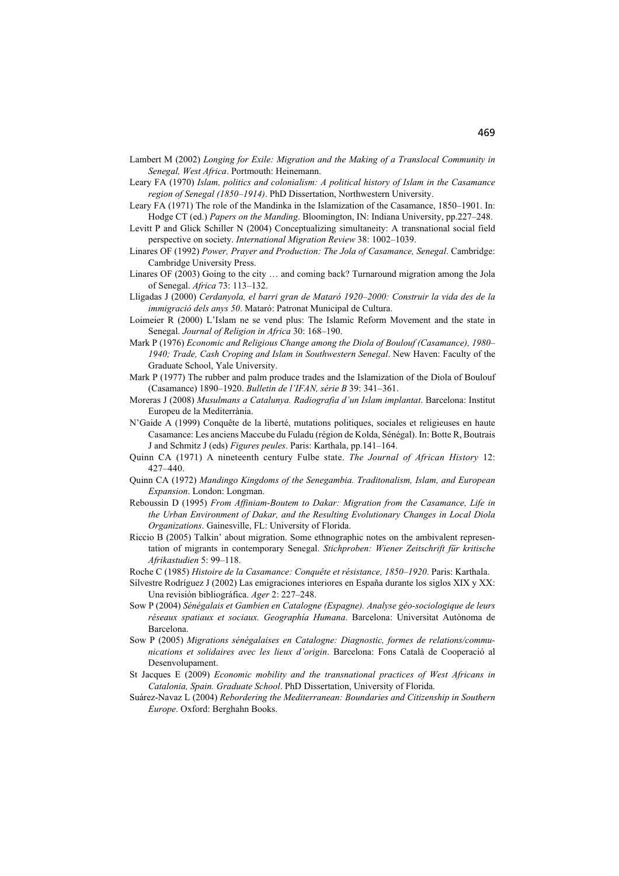- Lambert M (2002) *Longing for Exile: Migration and the Making of a Translocal Community in Senegal, West Africa*. Portmouth: Heinemann.
- Leary FA (1970) *Islam, politics and colonialism: A political history of Islam in the Casamance region of Senegal (1850–1914)*. PhD Dissertation, Northwestern University.
- Leary FA (1971) The role of the Mandinka in the Islamization of the Casamance, 1850–1901. In: Hodge CT (ed.) *Papers on the Manding*. Bloomington, IN: Indiana University, pp.227–248.
- Levitt P and Glick Schiller N (2004) Conceptualizing simultaneity: A transnational social field perspective on society. *International Migration Review* 38: 1002–1039.
- Linares OF (1992) *Power, Prayer and Production: The Jola of Casamance, Senegal*. Cambridge: Cambridge University Press.
- Linares OF (2003) Going to the city … and coming back? Turnaround migration among the Jola of Senegal. *Africa* 73: 113–132.
- Lligadas J (2000) *Cerdanyola, el barri gran de Mataró 1920–2000: Construir la vida des de la immigració dels anys 50*. Mataró: Patronat Municipal de Cultura.
- Loimeier R (2000) L'Islam ne se vend plus: The Islamic Reform Movement and the state in Senegal. *Journal of Religion in Africa* 30: 168–190.
- Mark P (1976) *Economic and Religious Change among the Diola of Boulouf (Casamance), 1980– 1940; Trade, Cash Croping and Islam in Southwestern Senegal*. New Haven: Faculty of the Graduate School, Yale University.
- Mark P (1977) The rubber and palm produce trades and the Islamization of the Diola of Boulouf (Casamance) 1890–1920. *Bulletin de l'IFAN, série B* 39: 341–361.
- Moreras J (2008) *Musulmans a Catalunya. Radiografia d'un Islam implantat*. Barcelona: Institut Europeu de la Mediterrània.
- N'Gaide A (1999) Conquête de la liberté, mutations politiques, sociales et religieuses en haute Casamance: Les anciens Maccube du Fuladu (région de Kolda, Sénégal). In: Botte R, Boutrais J and Schmitz J (eds) *Figures peules*. Paris: Karthala, pp.141–164.
- Quinn CA (1971) A nineteenth century Fulbe state. *The Journal of African History* 12: 427–440.
- Quinn CA (1972) *Mandingo Kingdoms of the Senegambia. Traditonalism, Islam, and European Expansion*. London: Longman.
- Reboussin D (1995) *From Affiniam-Boutem to Dakar: Migration from the Casamance, Life in the Urban Environment of Dakar, and the Resulting Evolutionary Changes in Local Diola Organizations*. Gainesville, FL: University of Florida.
- Riccio B (2005) Talkin' about migration. Some ethnographic notes on the ambivalent representation of migrants in contemporary Senegal. *Stichproben: Wiener Zeitschrift für kritische Afrikastudien* 5: 99–118.
- Roche C (1985) *Histoire de la Casamance: Conquête et résistance, 1850–1920*. Paris: Karthala.
- Silvestre Rodríguez J (2002) Las emigraciones interiores en España durante los siglos XIX y XX: Una revisión bibliográfica. *Ager* 2: 227–248.
- Sow P (2004) *Sénégalais et Gambien en Catalogne (Espagne). Analyse géo-sociologique de leurs réseaux spatiaux et sociaux. Geographía Humana*. Barcelona: Universitat Autònoma de Barcelona.
- Sow P (2005) *Migrations sénégalaises en Catalogne: Diagnostic, formes de relations/communications et solidaires avec les lieux d'origin*. Barcelona: Fons Català de Cooperació al Desenvolupament.
- St Jacques E (2009) *Economic mobility and the transnational practices of West Africans in Catalonia, Spain. Graduate School*. PhD Dissertation, University of Florida.
- Suárez-Navaz L (2004) *Rebordering the Mediterranean: Boundaries and Citizenship in Southern Europe*. Oxford: Berghahn Books.